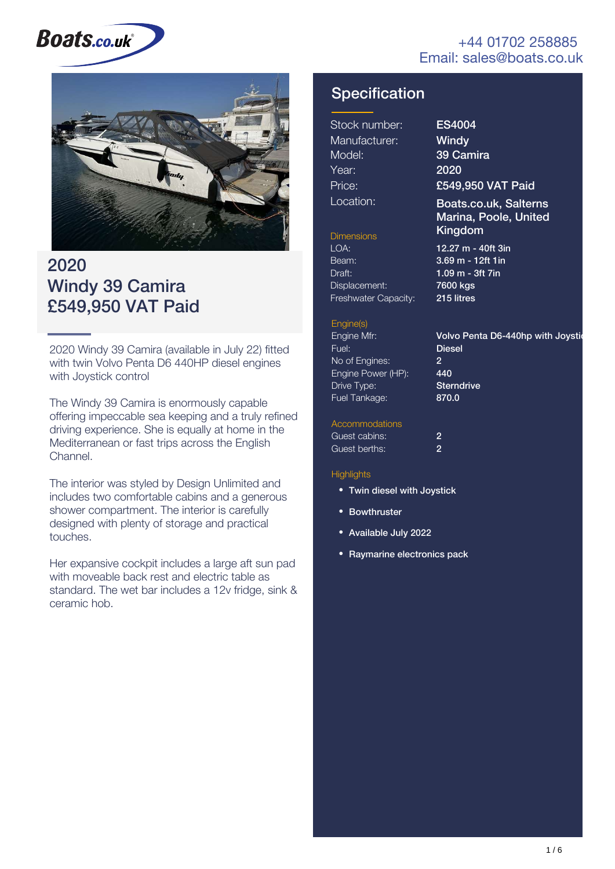#### +44 01702 258885 Email: sales@boats.co.uk

# **Boats.co.uk**



### 2020 Windy 39 Camira £549,950 VAT Paid

2020 Windy 39 Camira (available in July 22) fitted with twin Volvo Penta D6 440HP diesel engines with Joystick control

The Windy 39 Camira is enormously capable offering impeccable sea keeping and a truly refined driving experience. She is equally at home in the Mediterranean or fast trips across the English Channel.

The interior was styled by Design Unlimited and includes two comfortable cabins and a generous shower compartment. The interior is carefully designed with plenty of storage and practical touches.

Her expansive cockpit includes a large aft sun pad with moveable back rest and electric table as standard. The wet bar includes a 12v fridge, sink & ceramic hob.

### **Specification**

| Stock number: |
|---------------|
| Manufacturer: |
| Model:        |
| Year:         |
| Price:        |
| Location:     |

ES4004 **Windy** 39 Camira 2020 £549,950 VAT Paid

#### Boats.co.uk, Salterns Marina, Poole, United Dimensions **Kingdom**

with Joystic

Beam: Draft: Displacement: Freshwater Capacity:

LOA: 12.27 m - 40ft 3in 3.69 m - 12ft 1in 1.09 m - 3ft 7in 7600 kgs 215 litres

#### Engine(s)

En  $Fu$  $N<sub>c</sub>$ Engine Power (HP): Dr  $F<sub>u</sub>$ 

| gine Mfr:        | Volvo Penta D6-440hp |
|------------------|----------------------|
| el:              | <b>Diesel</b>        |
| of Engines:      | 2                    |
| gine Power (HP): | 440                  |
| ive Type:        | <b>Sterndrive</b>    |
| el Tankage:      | 870.0                |
|                  |                      |

#### **Accommodations**

| Guest cabins: | 2 |
|---------------|---|
| Guest berths: | 2 |

#### **Highlights**

- Twin diesel with Joystick
- Bowthruster
- Available July 2022
- Raymarine electronics pack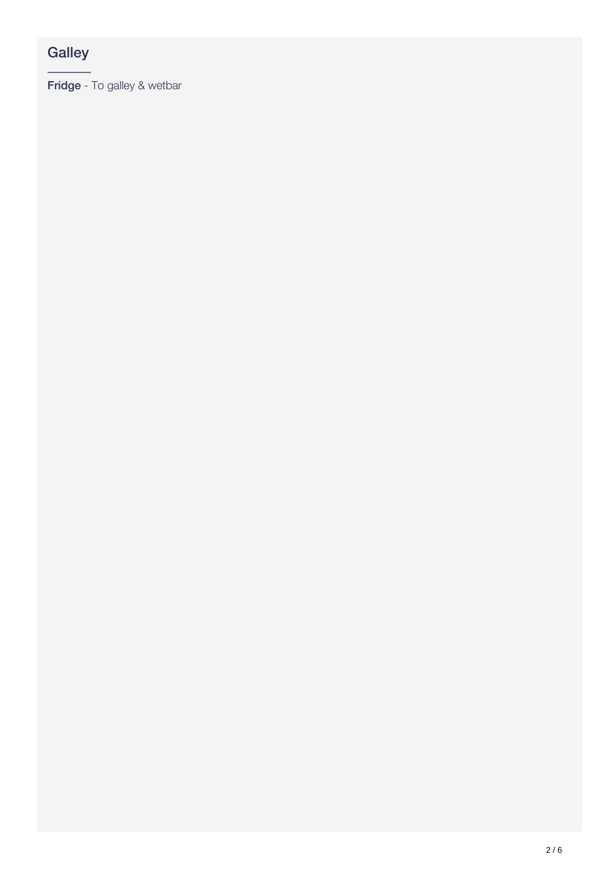### **Galley**

Fridge - To galley & wetbar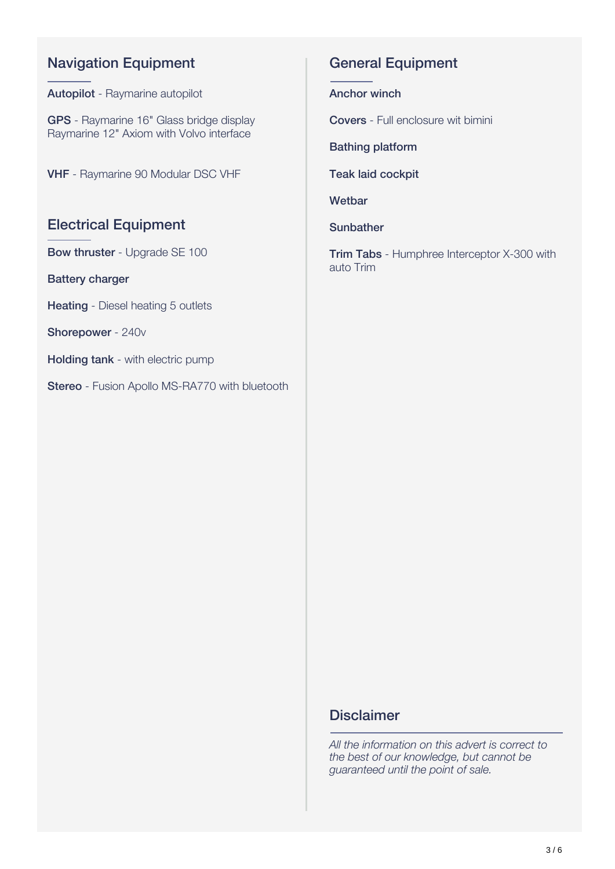### Navigation Equipment

Autopilot - Raymarine autopilot

GPS - Raymarine 16" Glass bridge display Raymarine 12" Axiom with Volvo interface

VHF - Raymarine 90 Modular DSC VHF

#### Electrical Equipment

Bow thruster - Upgrade SE 100

Battery charger

Heating - Diesel heating 5 outlets

Shorepower - 240v

**Holding tank** - with electric pump

Stereo - Fusion Apollo MS-RA770 with bluetooth

#### General Equipment

Anchor winch

Covers - Full enclosure wit bimini

Bathing platform

Teak laid cockpit

**Wetbar** 

**Sunbather** 

**Trim Tabs** - Humphree Interceptor X-300 with auto Trim

#### **Disclaimer**

*All the information on this advert is correct to the best of our knowledge, but cannot be guaranteed until the point of sale.*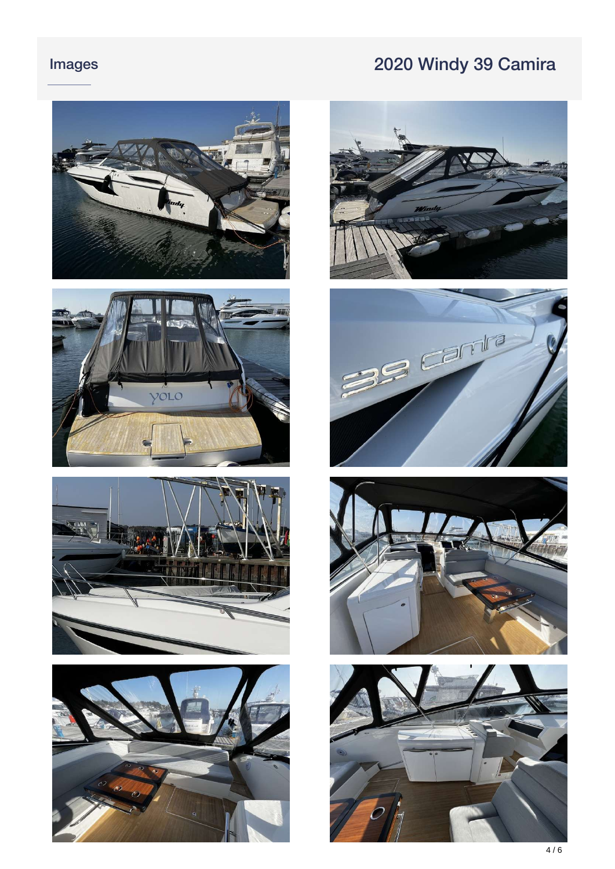## Images 2020 Windy 39 Camira















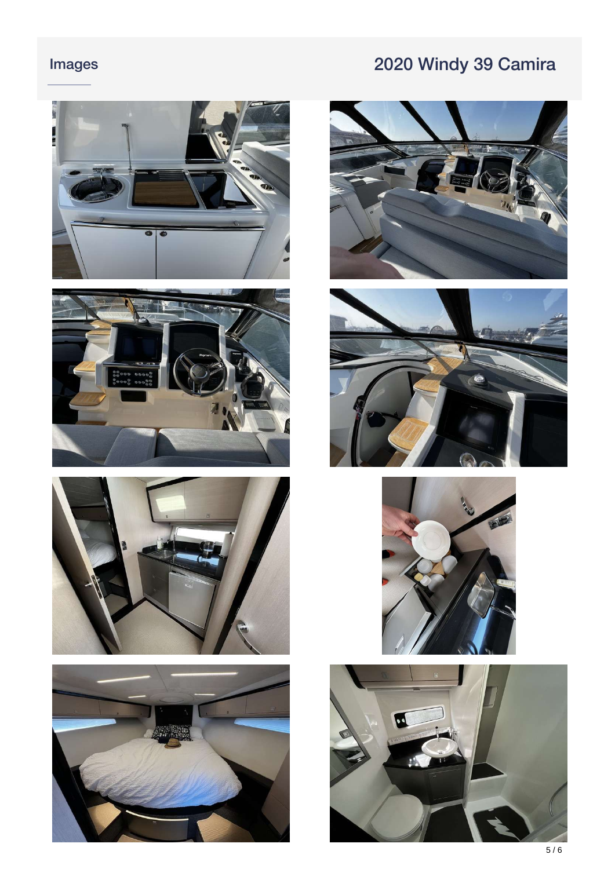### Images

## 2020 Windy 39 Camira